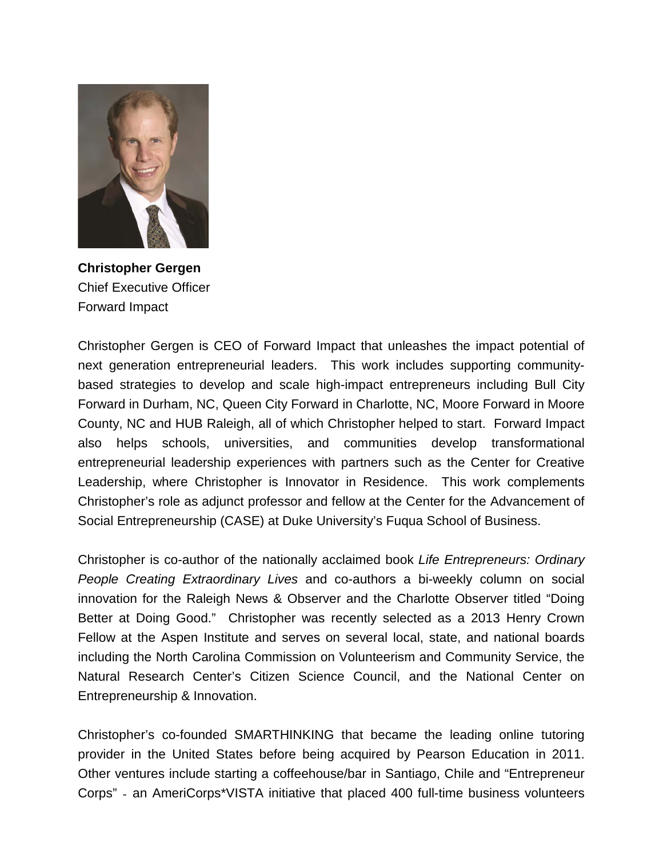

**Christopher Gergen** Chief Executive Officer Forward Impact

Christopher Gergen is CEO of Forward Impact that unleashes the impact potential of next generation entrepreneurial leaders. This work includes supporting communitybased strategies to develop and scale high-impact entrepreneurs including [Bull City](http://www.bullcityforward.org/)  [Forward](http://www.bullcityforward.org/) in Durham, NC, [Queen City Forward](http://www.bullcityforward.org/) in Charlotte, NC, [Moore Forward](http://www.mooreforward.org/) in Moore County, NC and [HUB Raleigh,](http://www.bullcityforward.org/) all of which Christopher helped to start. Forward Impact also helps schools, universities, and communities develop transformational entrepreneurial leadership experiences with partners such as the [Center for Creative](http://www.ccl.org/)  [Leadership,](http://www.ccl.org/) where Christopher is Innovator in Residence. This work complements Christopher's role as adjunct professor and fellow at the [Center for the Advancement of](http://www.bullcityforward.org/)  [Social Entrepreneurship \(CASE\) a](http://www.bullcityforward.org/)t Duke University's Fuqua School of Business.

Christopher is co-author of the nationally acclaimed book *[Life Entrepreneurs: Ordinary](http://www.lifeentrepreneurs.com/)  [People Creating Extraordinary Lives](http://www.lifeentrepreneurs.com/)* and co-authors a bi-weekly column on social innovation for the Raleigh News & Observer and the Charlotte Observer titled "Doing Better at Doing Good." Christopher was recently selected as a 2013 Henry Crown Fellow at the Aspen Institute and serves on several local, state, and national boards including the North Carolina Commission on Volunteerism and Community Service, the Natural Research Center's Citizen Science Council, and the National Center on Entrepreneurship & Innovation.

Christopher's co-founded [SMARTHINKING](http://www.smarthinking.com/) that became the leading online tutoring provider in the United States before being acquired by Pearson Education in 2011. Other ventures include starting a coffeehouse/bar in Santiago, Chile and "Entrepreneur Corps" - an AmeriCorps\*VISTA initiative that placed 400 full-time business volunteers